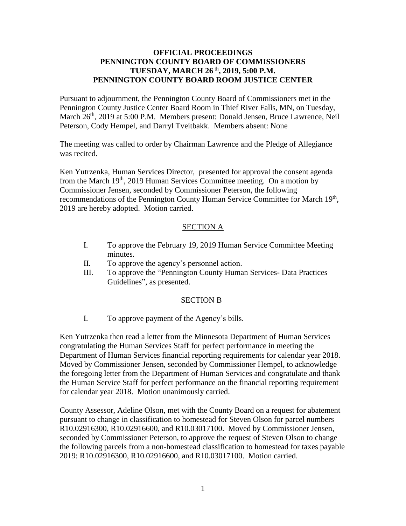## **OFFICIAL PROCEEDINGS PENNINGTON COUNTY BOARD OF COMMISSIONERS TUESDAY, MARCH 26** th **, 2019, 5:00 P.M. PENNINGTON COUNTY BOARD ROOM JUSTICE CENTER**

Pursuant to adjournment, the Pennington County Board of Commissioners met in the Pennington County Justice Center Board Room in Thief River Falls, MN, on Tuesday, March 26<sup>th</sup>, 2019 at 5:00 P.M. Members present: Donald Jensen, Bruce Lawrence, Neil Peterson, Cody Hempel, and Darryl Tveitbakk. Members absent: None

The meeting was called to order by Chairman Lawrence and the Pledge of Allegiance was recited.

Ken Yutrzenka, Human Services Director, presented for approval the consent agenda from the March  $19<sup>th</sup>$ , 2019 Human Services Committee meeting. On a motion by Commissioner Jensen, seconded by Commissioner Peterson, the following recommendations of the Pennington County Human Service Committee for March 19<sup>th</sup>, 2019 are hereby adopted. Motion carried.

## SECTION A

- I. To approve the February 19, 2019 Human Service Committee Meeting minutes.
- II. To approve the agency's personnel action.
- III. To approve the "Pennington County Human Services- Data Practices Guidelines", as presented.

### SECTION B

I. To approve payment of the Agency's bills.

Ken Yutrzenka then read a letter from the Minnesota Department of Human Services congratulating the Human Services Staff for perfect performance in meeting the Department of Human Services financial reporting requirements for calendar year 2018. Moved by Commissioner Jensen, seconded by Commissioner Hempel, to acknowledge the foregoing letter from the Department of Human Services and congratulate and thank the Human Service Staff for perfect performance on the financial reporting requirement for calendar year 2018. Motion unanimously carried.

County Assessor, Adeline Olson, met with the County Board on a request for abatement pursuant to change in classification to homestead for Steven Olson for parcel numbers R10.02916300, R10.02916600, and R10.03017100. Moved by Commissioner Jensen, seconded by Commissioner Peterson, to approve the request of Steven Olson to change the following parcels from a non-homestead classification to homestead for taxes payable 2019: R10.02916300, R10.02916600, and R10.03017100. Motion carried.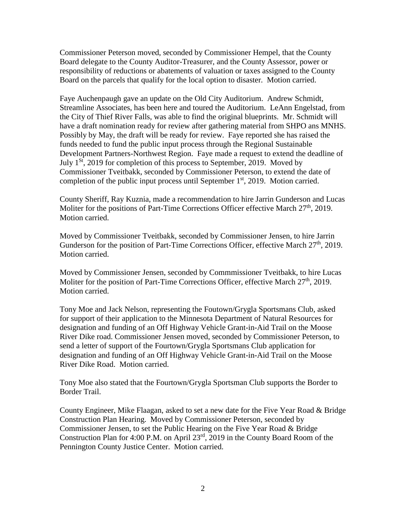Commissioner Peterson moved, seconded by Commissioner Hempel, that the County Board delegate to the County Auditor-Treasurer, and the County Assessor, power or responsibility of reductions or abatements of valuation or taxes assigned to the County Board on the parcels that qualify for the local option to disaster. Motion carried.

Faye Auchenpaugh gave an update on the Old City Auditorium. Andrew Schmidt, Streamline Associates, has been here and toured the Auditorium. LeAnn Engelstad, from the City of Thief River Falls, was able to find the original blueprints. Mr. Schmidt will have a draft nomination ready for review after gathering material from SHPO ans MNHS. Possibly by May, the draft will be ready for review. Faye reported she has raised the funds needed to fund the public input process through the Regional Sustainable Development Partners-Northwest Region. Faye made a request to extend the deadline of July  $1<sup>St</sup>$ , 2019 for completion of this process to September, 2019. Moved by Commissioner Tveitbakk, seconded by Commissioner Peterson, to extend the date of completion of the public input process until September  $1<sup>st</sup>$ , 2019. Motion carried.

County Sheriff, Ray Kuznia, made a recommendation to hire Jarrin Gunderson and Lucas Moliter for the positions of Part-Time Corrections Officer effective March 27<sup>th</sup>, 2019. Motion carried.

Moved by Commissioner Tveitbakk, seconded by Commissioner Jensen, to hire Jarrin Gunderson for the position of Part-Time Corrections Officer, effective March 27<sup>th</sup>, 2019. Motion carried.

Moved by Commissioner Jensen, seconded by Commmissioner Tveitbakk, to hire Lucas Moliter for the position of Part-Time Corrections Officer, effective March 27<sup>th</sup>, 2019. Motion carried.

Tony Moe and Jack Nelson, representing the Foutown/Grygla Sportsmans Club, asked for support of their application to the Minnesota Department of Natural Resources for designation and funding of an Off Highway Vehicle Grant-in-Aid Trail on the Moose River Dike road. Commissioner Jensen moved, seconded by Commissioner Peterson, to send a letter of support of the Fourtown/Grygla Sportsmans Club application for designation and funding of an Off Highway Vehicle Grant-in-Aid Trail on the Moose River Dike Road. Motion carried.

Tony Moe also stated that the Fourtown/Grygla Sportsman Club supports the Border to Border Trail.

County Engineer, Mike Flaagan, asked to set a new date for the Five Year Road & Bridge Construction Plan Hearing. Moved by Commissioner Peterson, seconded by Commissioner Jensen, to set the Public Hearing on the Five Year Road & Bridge Construction Plan for 4:00 P.M. on April 23rd, 2019 in the County Board Room of the Pennington County Justice Center. Motion carried.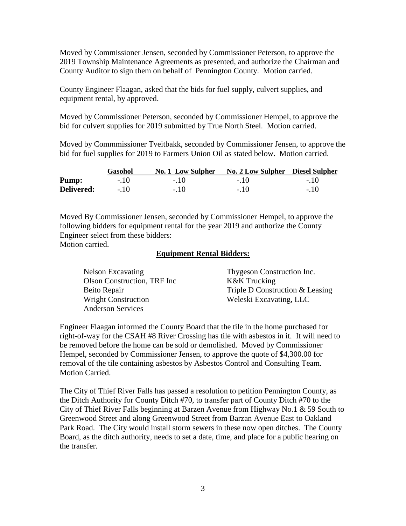Moved by Commissioner Jensen, seconded by Commissioner Peterson, to approve the 2019 Township Maintenance Agreements as presented, and authorize the Chairman and County Auditor to sign them on behalf of Pennington County. Motion carried.

County Engineer Flaagan, asked that the bids for fuel supply, culvert supplies, and equipment rental, by approved.

Moved by Commissioner Peterson, seconded by Commissioner Hempel, to approve the bid for culvert supplies for 2019 submitted by True North Steel. Motion carried.

Moved by Commmissioner Tveitbakk, seconded by Commissioner Jensen, to approve the bid for fuel supplies for 2019 to Farmers Union Oil as stated below. Motion carried.

|            | Gasohol | No. 1 Low Sulpher | No. 2 Low Sulpher Diesel Sulpher |        |
|------------|---------|-------------------|----------------------------------|--------|
| Pump:      | $-.10$  | $-10$             | $-10$                            | $-10$  |
| Delivered: | $-10$   | $-.10$            | $-.10$                           | $-.10$ |

Moved By Commissioner Jensen, seconded by Commissioner Hempel, to approve the following bidders for equipment rental for the year 2019 and authorize the County Engineer select from these bidders:

Motion carried.

#### **Equipment Rental Bidders:**

| Nelson Excavating            | Thygeson Construction Inc.      |
|------------------------------|---------------------------------|
| Olson Construction, TRF Inc. | K&K Trucking                    |
| Beito Repair                 | Triple D Construction & Leasing |
| <b>Wright Construction</b>   | Weleski Excavating, LLC         |
| <b>Anderson Services</b>     |                                 |

Engineer Flaagan informed the County Board that the tile in the home purchased for right-of-way for the CSAH #8 River Crossing has tile with asbestos in it. It will need to be removed before the home can be sold or demolished. Moved by Commissioner Hempel, seconded by Commissioner Jensen, to approve the quote of \$4,300.00 for removal of the tile containing asbestos by Asbestos Control and Consulting Team. Motion Carried.

The City of Thief River Falls has passed a resolution to petition Pennington County, as the Ditch Authority for County Ditch #70, to transfer part of County Ditch #70 to the City of Thief River Falls beginning at Barzen Avenue from Highway No.1 & 59 South to Greenwood Street and along Greenwood Street from Barzan Avenue East to Oakland Park Road. The City would install storm sewers in these now open ditches. The County Board, as the ditch authority, needs to set a date, time, and place for a public hearing on the transfer.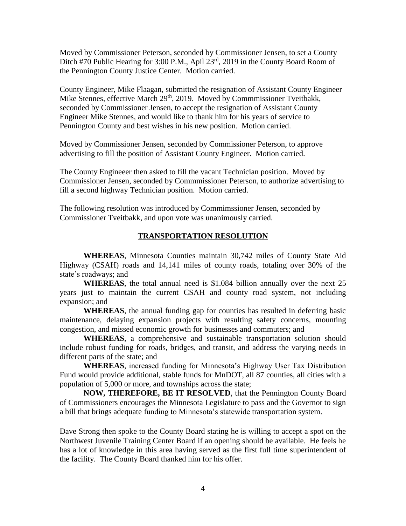Moved by Commissioner Peterson, seconded by Commissioner Jensen, to set a County Ditch #70 Public Hearing for 3:00 P.M., Apil 23<sup>rd</sup>, 2019 in the County Board Room of the Pennington County Justice Center. Motion carried.

County Engineer, Mike Flaagan, submitted the resignation of Assistant County Engineer Mike Stennes, effective March 29<sup>th</sup>, 2019. Moved by Commmissioner Tveitbakk, seconded by Commissioner Jensen, to accept the resignation of Assistant County Engineer Mike Stennes, and would like to thank him for his years of service to Pennington County and best wishes in his new position. Motion carried.

Moved by Commissioner Jensen, seconded by Commissioner Peterson, to approve advertising to fill the position of Assistant County Engineer. Motion carried.

The County Engineeer then asked to fill the vacant Technician position. Moved by Commissioner Jensen, seconded by Commmissioner Peterson, to authorize advertising to fill a second highway Technician position. Motion carried.

The following resolution was introduced by Commimssioner Jensen, seconded by Commissioner Tveitbakk, and upon vote was unanimously carried.

#### **TRANSPORTATION RESOLUTION**

**WHEREAS**, Minnesota Counties maintain 30,742 miles of County State Aid Highway (CSAH) roads and 14,141 miles of county roads, totaling over 30% of the state's roadways; and

**WHEREAS**, the total annual need is \$1.084 billion annually over the next 25 years just to maintain the current CSAH and county road system, not including expansion; and

**WHEREAS**, the annual funding gap for counties has resulted in deferring basic maintenance, delaying expansion projects with resulting safety concerns, mounting congestion, and missed economic growth for businesses and commuters; and

**WHEREAS**, a comprehensive and sustainable transportation solution should include robust funding for roads, bridges, and transit, and address the varying needs in different parts of the state; and

**WHEREAS**, increased funding for Minnesota's Highway User Tax Distribution Fund would provide additional, stable funds for MnDOT, all 87 counties, all cities with a population of 5,000 or more, and townships across the state;

**NOW, THEREFORE, BE IT RESOLVED**, that the Pennington County Board of Commissioners encourages the Minnesota Legislature to pass and the Governor to sign a bill that brings adequate funding to Minnesota's statewide transportation system.

Dave Strong then spoke to the County Board stating he is willing to accept a spot on the Northwest Juvenile Training Center Board if an opening should be available. He feels he has a lot of knowledge in this area having served as the first full time superintendent of the facility. The County Board thanked him for his offer.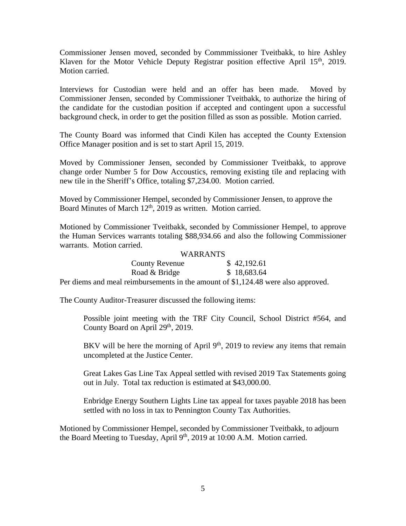Commissioner Jensen moved, seconded by Commmissioner Tveitbakk, to hire Ashley Klaven for the Motor Vehicle Deputy Registrar position effective April  $15<sup>th</sup>$ , 2019. Motion carried.

Interviews for Custodian were held and an offer has been made. Moved by Commissioner Jensen, seconded by Commissioner Tveitbakk, to authorize the hiring of the candidate for the custodian position if accepted and contingent upon a successful background check, in order to get the position filled as sson as possible. Motion carried.

The County Board was informed that Cindi Kilen has accepted the County Extension Office Manager position and is set to start April 15, 2019.

Moved by Commissioner Jensen, seconded by Commissioner Tveitbakk, to approve change order Number 5 for Dow Accoustics, removing existing tile and replacing with new tile in the Sheriff's Office, totaling \$7,234.00. Motion carried.

Moved by Commissioner Hempel, seconded by Commissioner Jensen, to approve the Board Minutes of March 12<sup>th</sup>, 2019 as written. Motion carried.

Motioned by Commissioner Tveitbakk, seconded by Commissioner Hempel, to approve the Human Services warrants totaling \$88,934.66 and also the following Commissioner warrants. Motion carried.

#### WARRANTS

| <b>County Revenue</b>                                                                          | \$42,192.61 |  |
|------------------------------------------------------------------------------------------------|-------------|--|
| Road & Bridge                                                                                  | \$18,683.64 |  |
| $\frac{1}{2}$ and meal raimburgements in the emeunt of $\mathbb{C}1$ 194.49 were algorithment. |             |  |

Per diems and meal reimbursements in the amount of \$1,124.48 were also approved.

The County Auditor-Treasurer discussed the following items:

Possible joint meeting with the TRF City Council, School District #564, and County Board on April 29<sup>th</sup>, 2019.

BKV will be here the morning of April  $9<sup>th</sup>$ , 2019 to review any items that remain uncompleted at the Justice Center.

Great Lakes Gas Line Tax Appeal settled with revised 2019 Tax Statements going out in July. Total tax reduction is estimated at \$43,000.00.

Enbridge Energy Southern Lights Line tax appeal for taxes payable 2018 has been settled with no loss in tax to Pennington County Tax Authorities.

Motioned by Commissioner Hempel, seconded by Commissioner Tveitbakk, to adjourn the Board Meeting to Tuesday, April  $9<sup>th</sup>$ , 2019 at 10:00 A.M. Motion carried.